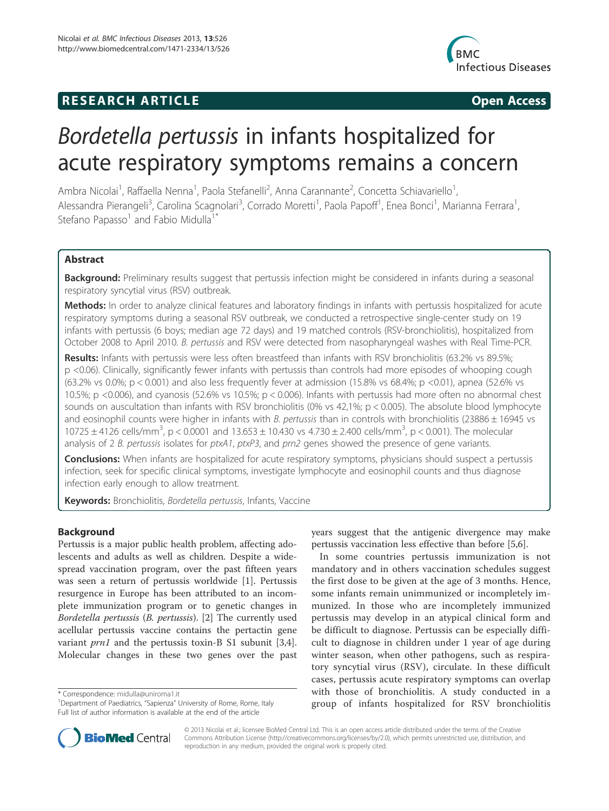# **RESEARCH ARTICLE Example 2014 CONSIDERING CONSIDERING CONSIDERING CONSIDERING CONSIDERING CONSIDERING CONSIDERING CONSIDERING CONSIDERING CONSIDERING CONSIDERING CONSIDERING CONSIDERING CONSIDERING CONSIDERING CONSIDE**



# Bordetella pertussis in infants hospitalized for acute respiratory symptoms remains a concern

Ambra Nicolai<sup>1</sup>, Raffaella Nenna<sup>1</sup>, Paola Stefanelli<sup>2</sup>, Anna Carannante<sup>2</sup>, Concetta Schiavariello<sup>1</sup> , Alessandra Pierangeli<sup>3</sup>, Carolina Scagnolari<sup>3</sup>, Corrado Moretti<sup>1</sup>, Paola Papoff<sup>1</sup>, Enea Bonci<sup>1</sup>, Marianna Ferrara<sup>1</sup> , Stefano Papasso<sup>1</sup> and Fabio Midulla<sup>1\*</sup>

# Abstract

**Background:** Preliminary results suggest that pertussis infection might be considered in infants during a seasonal respiratory syncytial virus (RSV) outbreak.

Methods: In order to analyze clinical features and laboratory findings in infants with pertussis hospitalized for acute respiratory symptoms during a seasonal RSV outbreak, we conducted a retrospective single-center study on 19 infants with pertussis (6 boys; median age 72 days) and 19 matched controls (RSV-bronchiolitis), hospitalized from October 2008 to April 2010. B. pertussis and RSV were detected from nasopharyngeal washes with Real Time-PCR.

Results: Infants with pertussis were less often breastfeed than infants with RSV bronchiolitis (63.2% vs 89.5%; p <0.06). Clinically, significantly fewer infants with pertussis than controls had more episodes of whooping cough (63.2% vs 0.0%;  $p < 0.001$ ) and also less frequently fever at admission (15.8% vs 68.4%;  $p < 0.01$ ), apnea (52.6% vs 10.5%; p <0.006), and cyanosis (52.6% vs 10.5%; p < 0.006). Infants with pertussis had more often no abnormal chest sounds on auscultation than infants with RSV bronchiolitis (0% vs 42,1%; p < 0.005). The absolute blood lymphocyte and eosinophil counts were higher in infants with B. pertussis than in controls with bronchiolitis (23886  $\pm$  16945 vs 10725 ± 4126 cells/mm<sup>3</sup>, p < 0.0001 and 13.653 ± 10.430 vs 4.730 ± 2.400 cells/mm<sup>3</sup>, p < 0.001). The molecular analysis of 2 B. pertussis isolates for  $ptxA1$ ,  $ptxP3$ , and  $prn2$  genes showed the presence of gene variants.

**Conclusions:** When infants are hospitalized for acute respiratory symptoms, physicians should suspect a pertussis infection, seek for specific clinical symptoms, investigate lymphocyte and eosinophil counts and thus diagnose infection early enough to allow treatment.

Keywords: Bronchiolitis, Bordetella pertussis, Infants, Vaccine

# Background

Pertussis is a major public health problem, affecting adolescents and adults as well as children. Despite a widespread vaccination program, over the past fifteen years was seen a return of pertussis worldwide [1]. Pertussis resurgence in Europe has been attributed to an incomplete immunization program or to genetic changes in Bordetella pertussis (B. pertussis). [2] The currently used acellular pertussis vaccine contains the pertactin gene variant *prn1* and the pertussis toxin-B S1 subunit [3,4]. Molecular changes in these two genes over the past

\* Correspondence: midulla@uniroma1.it <sup>1</sup>



In some countries pertussis immunization is not mandatory and in others vaccination schedules suggest the first dose to be given at the age of 3 months. Hence, some infants remain unimmunized or incompletely immunized. In those who are incompletely immunized pertussis may develop in an atypical clinical form and be difficult to diagnose. Pertussis can be especially difficult to diagnose in children under 1 year of age during winter season, when other pathogens, such as respiratory syncytial virus (RSV), circulate. In these difficult cases, pertussis acute respiratory symptoms can overlap with those of bronchiolitis. A study conducted in a group of infants hospitalized for RSV bronchiolitis



© 2013 Nicolai et al.; licensee BioMed Central Ltd. This is an open access article distributed under the terms of the Creative Commons Attribution License (http://creativecommons.org/licenses/by/2.0), which permits unrestricted use, distribution, and reproduction in any medium, provided the original work is properly cited.

<sup>&</sup>lt;sup>1</sup> Department of Paediatrics, "Sapienza" University of Rome, Rome, Italy Full list of author information is available at the end of the article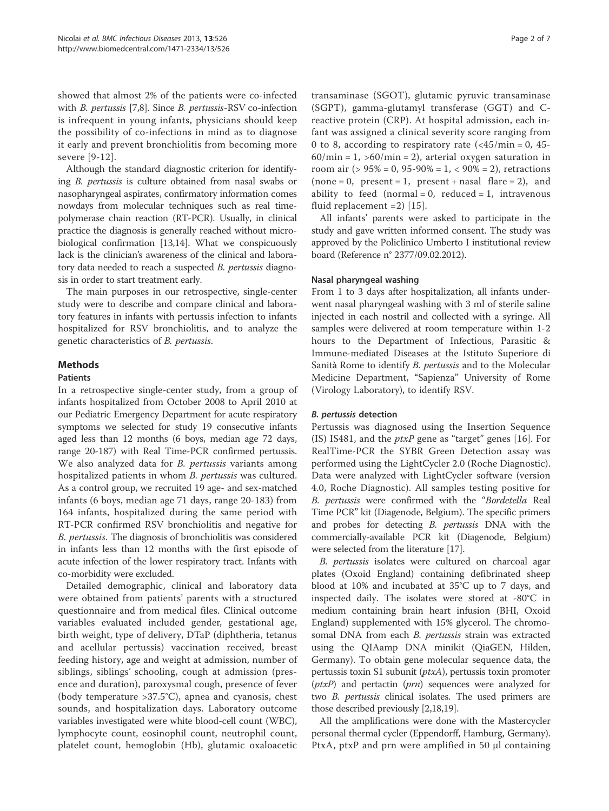showed that almost 2% of the patients were co-infected with B. pertussis [7,8]. Since B. pertussis-RSV co-infection is infrequent in young infants, physicians should keep the possibility of co-infections in mind as to diagnose it early and prevent bronchiolitis from becoming more severe [9-12].

Although the standard diagnostic criterion for identifying B. pertussis is culture obtained from nasal swabs or nasopharyngeal aspirates, confirmatory information comes nowdays from molecular techniques such as real timepolymerase chain reaction (RT-PCR). Usually, in clinical practice the diagnosis is generally reached without microbiological confirmation [13,14]. What we conspicuously lack is the clinician's awareness of the clinical and laboratory data needed to reach a suspected B. pertussis diagnosis in order to start treatment early.

The main purposes in our retrospective, single-center study were to describe and compare clinical and laboratory features in infants with pertussis infection to infants hospitalized for RSV bronchiolitis, and to analyze the genetic characteristics of B. pertussis.

# **Methods**

#### Patients

In a retrospective single-center study, from a group of infants hospitalized from October 2008 to April 2010 at our Pediatric Emergency Department for acute respiratory symptoms we selected for study 19 consecutive infants aged less than 12 months (6 boys, median age 72 days, range 20-187) with Real Time-PCR confirmed pertussis. We also analyzed data for *B. pertussis* variants among hospitalized patients in whom B. pertussis was cultured. As a control group, we recruited 19 age- and sex-matched infants (6 boys, median age 71 days, range 20-183) from 164 infants, hospitalized during the same period with RT-PCR confirmed RSV bronchiolitis and negative for B. pertussis. The diagnosis of bronchiolitis was considered in infants less than 12 months with the first episode of acute infection of the lower respiratory tract. Infants with co-morbidity were excluded.

Detailed demographic, clinical and laboratory data were obtained from patients' parents with a structured questionnaire and from medical files. Clinical outcome variables evaluated included gender, gestational age, birth weight, type of delivery, DTaP (diphtheria, tetanus and acellular pertussis) vaccination received, breast feeding history, age and weight at admission, number of siblings, siblings' schooling, cough at admission (presence and duration), paroxysmal cough, presence of fever (body temperature >37.5°C), apnea and cyanosis, chest sounds, and hospitalization days. Laboratory outcome variables investigated were white blood-cell count (WBC), lymphocyte count, eosinophil count, neutrophil count, platelet count, hemoglobin (Hb), glutamic oxaloacetic

transaminase (SGOT), glutamic pyruvic transaminase (SGPT), gamma-glutamyl transferase (GGT) and Creactive protein (CRP). At hospital admission, each infant was assigned a clinical severity score ranging from 0 to 8, according to respiratory rate  $\left(\frac{45}{\text{min}}\right) = 0$ , 45- $60/min = 1$ ,  $>60/min = 2$ ), arterial oxygen saturation in room air ( $> 95\% = 0$ ,  $95-90\% = 1$ ,  $< 90\% = 2$ ), retractions  $(none = 0, present = 1, present + nasal flare = 2), and$ ability to feed (normal = 0, reduced = 1, intravenous fluid replacement =2) [15].

All infants' parents were asked to participate in the study and gave written informed consent. The study was approved by the Policlinico Umberto I institutional review board (Reference n° 2377/09.02.2012).

## Nasal pharyngeal washing

From 1 to 3 days after hospitalization, all infants underwent nasal pharyngeal washing with 3 ml of sterile saline injected in each nostril and collected with a syringe. All samples were delivered at room temperature within 1-2 hours to the Department of Infectious, Parasitic & Immune-mediated Diseases at the Istituto Superiore di Sanità Rome to identify B. pertussis and to the Molecular Medicine Department, "Sapienza" University of Rome (Virology Laboratory), to identify RSV.

#### B. pertussis detection

Pertussis was diagnosed using the Insertion Sequence (IS) IS481, and the  $ptxP$  gene as "target" genes [16]. For RealTime-PCR the SYBR Green Detection assay was performed using the LightCycler 2.0 (Roche Diagnostic). Data were analyzed with LightCycler software (version 4.0, Roche Diagnostic). All samples testing positive for B. pertussis were confirmed with the "Bordetella Real Time PCR" kit (Diagenode, Belgium). The specific primers and probes for detecting B. pertussis DNA with the commercially-available PCR kit (Diagenode, Belgium) were selected from the literature [17].

B. pertussis isolates were cultured on charcoal agar plates (Oxoid England) containing defibrinated sheep blood at 10% and incubated at 35°C up to 7 days, and inspected daily. The isolates were stored at -80°C in medium containing brain heart infusion (BHI, Oxoid England) supplemented with 15% glycerol. The chromosomal DNA from each *B. pertussis* strain was extracted using the QIAamp DNA minikit (QiaGEN, Hilden, Germany). To obtain gene molecular sequence data, the pertussis toxin S1 subunit (ptxA), pertussis toxin promoter  $(ptxP)$  and pertactin  $(prn)$  sequences were analyzed for two B. pertussis clinical isolates. The used primers are those described previously [2,18,19].

All the amplifications were done with the Mastercycler personal thermal cycler (Eppendorff, Hamburg, Germany). PtxA, ptxP and prn were amplified in 50 μl containing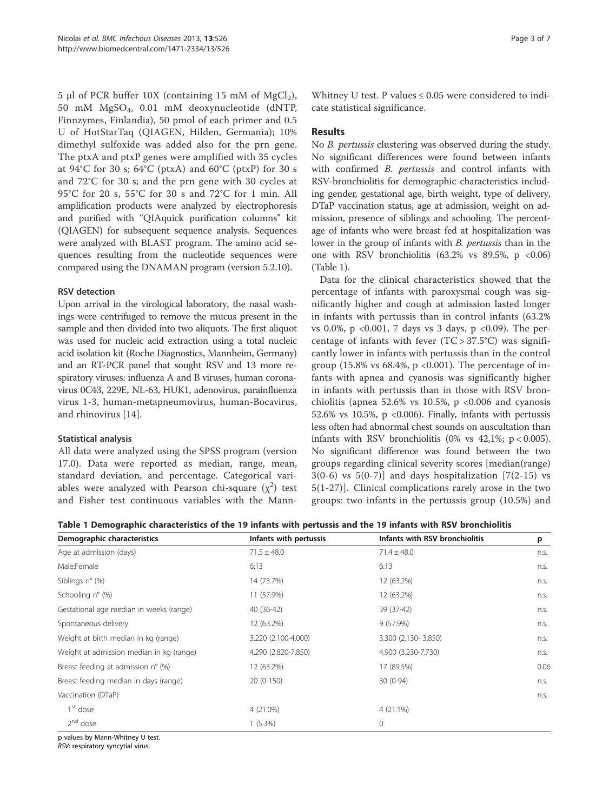5 μl of PCR buffer  $10X$  (containing 15 mM of MgCl<sub>2</sub>), 50 mM MgSO4, 0.01 mM deoxynucleotide (dNTP, Finnzymes, Finlandia), 50 pmol of each primer and 0.5 U of HotStarTaq (QIAGEN, Hilden, Germania); 10% dimethyl sulfoxide was added also for the prn gene. The ptxA and ptxP genes were amplified with 35 cycles at  $94^{\circ}$ C for 30 s;  $64^{\circ}$ C (ptxA) and  $60^{\circ}$ C (ptxP) for 30 s and 72°C for 30 s; and the prn gene with 30 cycles at 95°C for 20 s, 55°C for 30 s and 72°C for 1 min. All amplification products were analyzed by electrophoresis and purified with "QIAquick purification columns" kit (QIAGEN) for subsequent sequence analysis. Sequences were analyzed with BLAST program. The amino acid sequences resulting from the nucleotide sequences were compared using the DNAMAN program (version 5.2.10).

## RSV detection

Upon arrival in the virological laboratory, the nasal washings were centrifuged to remove the mucus present in the sample and then divided into two aliquots. The first aliquot was used for nucleic acid extraction using a total nucleic acid isolation kit (Roche Diagnostics, Mannheim, Germany) and an RT-PCR panel that sought RSV and 13 more respiratory viruses: influenza A and B viruses, human coronavirus 0C43, 229E, NL-63, HUK1, adenovirus, parainfluenza virus 1-3, human-metapneumovirus, human-Bocavirus, and rhinovirus [14].

## Statistical analysis

All data were analyzed using the SPSS program (version 17.0). Data were reported as median, range, mean, standard deviation, and percentage. Categorical variables were analyzed with Pearson chi-square  $(\chi^2)$  test and Fisher test continuous variables with the Mann-

Whitney U test. P values  $\leq 0.05$  were considered to indicate statistical significance.

# Results

No B. pertussis clustering was observed during the study. No significant differences were found between infants with confirmed *B. pertussis* and control infants with RSV-bronchiolitis for demographic characteristics including gender, gestational age, birth weight, type of delivery, DTaP vaccination status, age at admission, weight on admission, presence of siblings and schooling. The percentage of infants who were breast fed at hospitalization was lower in the group of infants with B. pertussis than in the one with RSV bronchiolitis  $(63.2\% \text{ vs } 89.5\%, \text{ p } <0.06)$ (Table 1).

Data for the clinical characteristics showed that the percentage of infants with paroxysmal cough was significantly higher and cough at admission lasted longer in infants with pertussis than in control infants (63.2% vs 0.0%, p <0.001, 7 days vs 3 days, p <0.09). The percentage of infants with fever  $(TC > 37.5^{\circ}C)$  was significantly lower in infants with pertussis than in the control group (15.8% vs  $68.4\%$ , p < 0.001). The percentage of infants with apnea and cyanosis was significantly higher in infants with pertussis than in those with RSV bronchiolitis (apnea 52.6% vs 10.5%,  $p \lt 0.006$  and cyanosis 52.6% vs 10.5%,  $p$  <0.006). Finally, infants with pertussis less often had abnormal chest sounds on auscultation than infants with RSV bronchiolitis (0% vs  $42,1\%$ ; p < 0.005). No significant difference was found between the two groups regarding clinical severity scores [median(range)  $3(0-6)$  vs  $5(0-7)$ ] and days hospitalization [7(2-15) vs 5(1-27)]. Clinical complications rarely arose in the two groups: two infants in the pertussis group (10.5%) and

|  | Table 1 Demographic characteristics of the 19 infants with pertussis and the 19 infants with RSV bronchiolitis |  |  |  |  |  |
|--|----------------------------------------------------------------------------------------------------------------|--|--|--|--|--|
|--|----------------------------------------------------------------------------------------------------------------|--|--|--|--|--|

| Demographic characteristics              | Infants with pertussis | Infants with RSV bronchiolitis | p    |
|------------------------------------------|------------------------|--------------------------------|------|
| Age at admission (days)                  | $71.5 \pm 48.0$        | $71.4 \pm 48.0$                | n.s. |
| Male:Female                              | 6:13                   | 6:13                           | n.s. |
| Siblings $n^{\circ}$ (%)                 | 14 (73.7%)             | 12 (63.2%)                     | n.s. |
| Schooling n° (%)                         | 11 (57.9%)             | 12 (63.2%)                     | n.s. |
| Gestational age median in weeks (range)  | 40 (36-42)             | 39 (37-42)                     | n.s. |
| Spontaneous delivery                     | 12 (63.2%)             | 9 (57.9%)                      | n.s. |
| Weight at birth median in kg (range)     | 3.220 (2.100-4.000)    | 3.300 (2.130-3.850)            | n.s. |
| Weight at admission median in kg (range) | 4.290 (2.820-7.850)    | 4.900 (3.230-7.730)            | n.s. |
| Breast feeding at admission n° (%)       | 12 (63.2%)             | 17 (89.5%)                     | 0.06 |
| Breast feeding median in days (range)    | $20(0-150)$            | $30(0-94)$                     | n.s. |
| Vaccination (DTaP)                       |                        |                                | n.s. |
| 1 <sup>st</sup> dose                     | 4 (21.0%)              | $4(21.1\%)$                    |      |
| $2nd$ dose                               | $1(5.3\%)$             | 0                              |      |

p values by Mann-Whitney U test.

RSV: respiratory syncytial virus.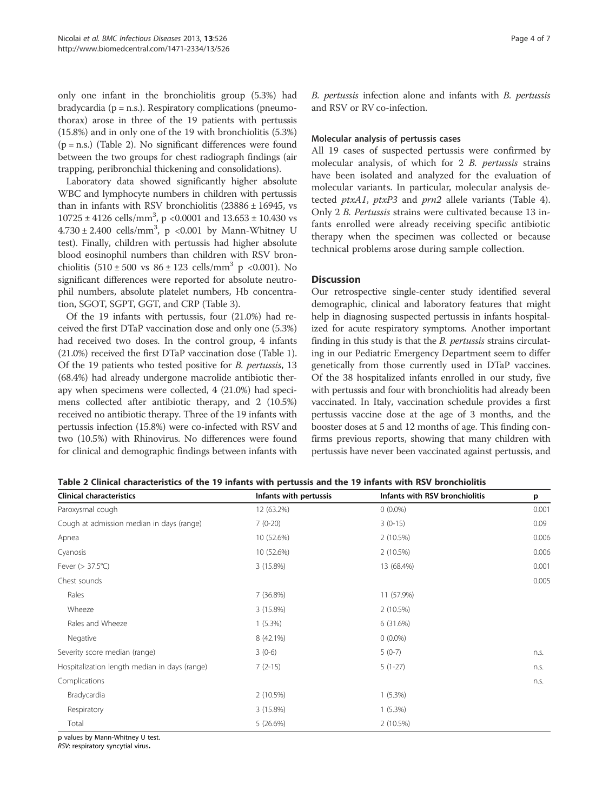only one infant in the bronchiolitis group (5.3%) had bradycardia ( $p = n.s.$ ). Respiratory complications (pneumothorax) arose in three of the 19 patients with pertussis (15.8%) and in only one of the 19 with bronchiolitis (5.3%) (p = n.s.) (Table 2). No significant differences were found between the two groups for chest radiograph findings (air trapping, peribronchial thickening and consolidations).

Laboratory data showed significantly higher absolute WBC and lymphocyte numbers in children with pertussis than in infants with RSV bronchiolitis (23886 ± 16945, vs  $10725 \pm 4126$  cells/mm<sup>3</sup>, p <0.0001 and  $13.653 \pm 10.430$  vs  $4.730 \pm 2.400$  cells/mm<sup>3</sup>, p <0.001 by Mann-Whitney U test). Finally, children with pertussis had higher absolute blood eosinophil numbers than children with RSV bronchiolitis  $(510 \pm 500 \text{ vs } 86 \pm 123 \text{ cells/mm}^3 \text{ p } < 0.001)$ . No significant differences were reported for absolute neutrophil numbers, absolute platelet numbers, Hb concentration, SGOT, SGPT, GGT, and CRP (Table 3).

Of the 19 infants with pertussis, four (21.0%) had received the first DTaP vaccination dose and only one (5.3%) had received two doses. In the control group, 4 infants (21.0%) received the first DTaP vaccination dose (Table 1). Of the 19 patients who tested positive for B. pertussis, 13 (68.4%) had already undergone macrolide antibiotic therapy when specimens were collected, 4 (21.0%) had specimens collected after antibiotic therapy, and 2 (10.5%) received no antibiotic therapy. Three of the 19 infants with pertussis infection (15.8%) were co-infected with RSV and two (10.5%) with Rhinovirus. No differences were found for clinical and demographic findings between infants with B. pertussis infection alone and infants with B. pertussis and RSV or RV co-infection.

#### Molecular analysis of pertussis cases

All 19 cases of suspected pertussis were confirmed by molecular analysis, of which for 2 B. pertussis strains have been isolated and analyzed for the evaluation of molecular variants. In particular, molecular analysis detected *ptxA1*, *ptxP3* and *prn2* allele variants (Table 4). Only 2 B. Pertussis strains were cultivated because 13 infants enrolled were already receiving specific antibiotic therapy when the specimen was collected or because technical problems arose during sample collection.

## **Discussion**

Our retrospective single-center study identified several demographic, clinical and laboratory features that might help in diagnosing suspected pertussis in infants hospitalized for acute respiratory symptoms. Another important finding in this study is that the B. pertussis strains circulating in our Pediatric Emergency Department seem to differ genetically from those currently used in DTaP vaccines. Of the 38 hospitalized infants enrolled in our study, five with pertussis and four with bronchiolitis had already been vaccinated. In Italy, vaccination schedule provides a first pertussis vaccine dose at the age of 3 months, and the booster doses at 5 and 12 months of age. This finding confirms previous reports, showing that many children with pertussis have never been vaccinated against pertussis, and

| Table 2 Clinical characteristics of the 19 infants with pertussis and the 19 infants with RSV bronchiolitis |  |
|-------------------------------------------------------------------------------------------------------------|--|
|-------------------------------------------------------------------------------------------------------------|--|

| <b>Clinical characteristics</b>               | Infants with pertussis | Infants with RSV bronchiolitis | p     |
|-----------------------------------------------|------------------------|--------------------------------|-------|
| Paroxysmal cough                              | 12 (63.2%)             | $0(0.0\%)$                     | 0.001 |
| Cough at admission median in days (range)     | $7(0-20)$              | $3(0-15)$                      | 0.09  |
| Apnea                                         | 10 (52.6%)             | 2 (10.5%)                      | 0.006 |
| Cyanosis                                      | 10 (52.6%)             | 2 (10.5%)                      | 0.006 |
| Fever $(> 37.5^{\circ}C)$                     | 3 (15.8%)              | 13 (68.4%)                     | 0.001 |
| Chest sounds                                  |                        |                                | 0.005 |
| Rales                                         | 7 (36.8%)              | 11 (57.9%)                     |       |
| Wheeze                                        | 3 (15.8%)              | 2(10.5%)                       |       |
| Rales and Wheeze                              | $1(5.3\%)$             | 6 (31.6%)                      |       |
| Negative                                      | 8 (42.1%)              | $0(0.0\%)$                     |       |
| Severity score median (range)                 | $3(0-6)$               | $5(0-7)$                       | n.s.  |
| Hospitalization length median in days (range) | $7(2-15)$              | $5(1-27)$                      | n.s.  |
| Complications                                 |                        |                                | n.s.  |
| Bradycardia                                   | 2 (10.5%)              | $1(5.3\%)$                     |       |
| Respiratory                                   | 3 (15.8%)              | $1(5.3\%)$                     |       |
| Total                                         | 5(26.6%)               | 2(10.5%)                       |       |

p values by Mann-Whitney U test.

RSV: respiratory syncytial virus.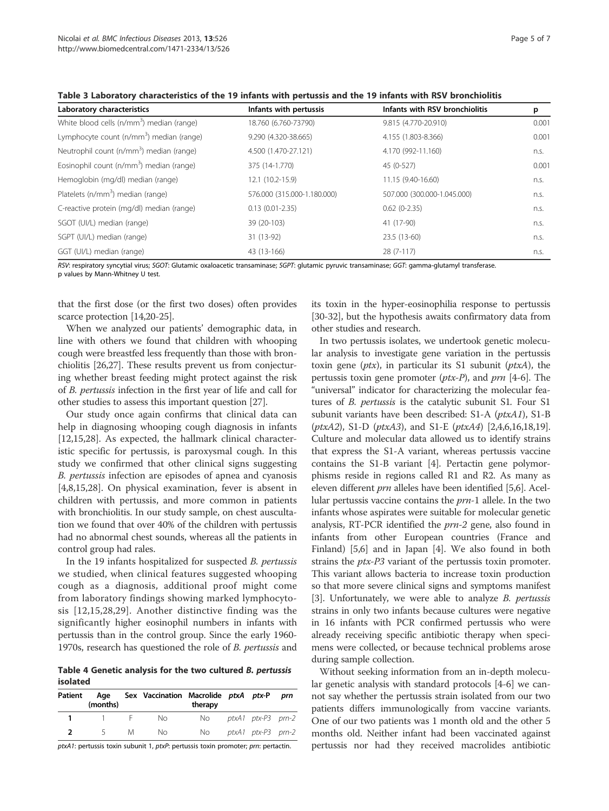| Laboratory characteristics                            | Infants with pertussis      | Infants with RSV bronchiolitis | p     |  |
|-------------------------------------------------------|-----------------------------|--------------------------------|-------|--|
| White blood cells (n/mm <sup>3</sup> ) median (range) | 18.760 (6.760-73790)        | 9.815 (4.770-20.910)           | 0.001 |  |
| Lymphocyte count (n/mm <sup>3</sup> ) median (range)  | 9.290 (4.320-38.665)        | 4.155 (1.803-8.366)            | 0.001 |  |
| Neutrophil count (n/mm <sup>3</sup> ) median (range)  | 4.500 (1.470-27.121)        | 4.170 (992-11.160)             | n.s.  |  |
| Eosinophil count (n/mm <sup>3</sup> ) median (range)  | 375 (14-1.770)              | 45 (0-527)                     | 0.001 |  |
| Hemoglobin (mg/dl) median (range)                     | 12.1 (10.2-15.9)            | 11.15 (9.40-16.60)             | n.s.  |  |
| Platelets (n/mm <sup>3</sup> ) median (range)         | 576.000 (315.000-1.180.000) | 507.000 (300.000-1.045.000)    | n.s.  |  |
| C-reactive protein (mg/dl) median (range)             | $0.13(0.01 - 2.35)$         | $0.62(0-2.35)$                 | n.s.  |  |
| SGOT (UI/L) median (range)                            | 39 (20-103)                 | 41 (17-90)                     | n.s.  |  |
| SGPT (UI/L) median (range)                            | 31 (13-92)                  | 23.5 (13-60)                   | n.s.  |  |
| GGT (UI/L) median (range)                             | 43 (13-166)                 | $28(7-117)$                    | n.s.  |  |

Table 3 Laboratory characteristics of the 19 infants with pertussis and the 19 infants with RSV bronchiolitis

RSV: respiratory syncytial virus; SGOT: Glutamic oxaloacetic transaminase; SGPT: glutamic pyruvic transaminase; GGT: gamma-glutamyl transferase.

p values by Mann-Whitney U test.

that the first dose (or the first two doses) often provides scarce protection [14,20-25].

When we analyzed our patients' demographic data, in line with others we found that children with whooping cough were breastfed less frequently than those with bronchiolitis [26,27]. These results prevent us from conjecturing whether breast feeding might protect against the risk of B. pertussis infection in the first year of life and call for other studies to assess this important question [27].

Our study once again confirms that clinical data can help in diagnosing whooping cough diagnosis in infants [12,15,28]. As expected, the hallmark clinical characteristic specific for pertussis, is paroxysmal cough. In this study we confirmed that other clinical signs suggesting B. pertussis infection are episodes of apnea and cyanosis [4,8,15,28]. On physical examination, fever is absent in children with pertussis, and more common in patients with bronchiolitis. In our study sample, on chest auscultation we found that over 40% of the children with pertussis had no abnormal chest sounds, whereas all the patients in control group had rales.

In the 19 infants hospitalized for suspected B. pertussis we studied, when clinical features suggested whooping cough as a diagnosis, additional proof might come from laboratory findings showing marked lymphocytosis [12,15,28,29]. Another distinctive finding was the significantly higher eosinophil numbers in infants with pertussis than in the control group. Since the early 1960- 1970s, research has questioned the role of *B. pertussis* and

Table 4 Genetic analysis for the two cultured B. pertussis isolated

| Patient | Aae<br>(months) |          | Sex Vaccination Macrolide ptxA ptx-P | therapy |                    | prn |
|---------|-----------------|----------|--------------------------------------|---------|--------------------|-----|
|         |                 | $\vdash$ | No.                                  | No l    | ptxA1 ptx-P3 prn-2 |     |
|         | $\sim$          | M        | No.                                  | No.     | ptxA1 ptx-P3 prn-2 |     |

ptxA1: pertussis toxin subunit 1, ptxP: pertussis toxin promoter; prn: pertactin.

its toxin in the hyper-eosinophilia response to pertussis [30-32], but the hypothesis awaits confirmatory data from other studies and research.

In two pertussis isolates, we undertook genetic molecular analysis to investigate gene variation in the pertussis toxin gene (*ptx*), in particular its S1 subunit (*ptxA*), the pertussis toxin gene promoter  $(ptx-P)$ , and prn [4-6]. The "universal" indicator for characterizing the molecular features of B. pertussis is the catalytic subunit S1. Four S1 subunit variants have been described: S1-A (ptxA1), S1-B (ptxA2), S1-D (ptxA3), and S1-E (ptxA4) [2,4,6,16,18,19]. Culture and molecular data allowed us to identify strains that express the S1-A variant, whereas pertussis vaccine contains the S1-B variant [4]. Pertactin gene polymorphisms reside in regions called R1 and R2. As many as eleven different prn alleles have been identified [5,6]. Acellular pertussis vaccine contains the prn-1 allele. In the two infants whose aspirates were suitable for molecular genetic analysis, RT-PCR identified the *prn-2* gene, also found in infants from other European countries (France and Finland) [5,6] and in Japan [4]. We also found in both strains the *ptx-P3* variant of the pertussis toxin promoter. This variant allows bacteria to increase toxin production so that more severe clinical signs and symptoms manifest [3]. Unfortunately, we were able to analyze  $B$ . pertussis strains in only two infants because cultures were negative in 16 infants with PCR confirmed pertussis who were already receiving specific antibiotic therapy when specimens were collected, or because technical problems arose during sample collection.

Without seeking information from an in-depth molecular genetic analysis with standard protocols [4-6] we cannot say whether the pertussis strain isolated from our two patients differs immunologically from vaccine variants. One of our two patients was 1 month old and the other 5 months old. Neither infant had been vaccinated against pertussis nor had they received macrolides antibiotic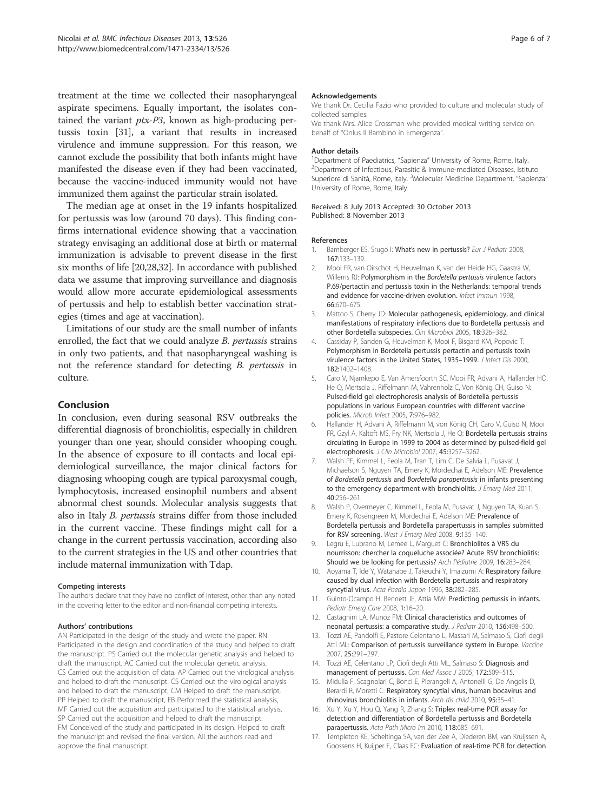treatment at the time we collected their nasopharyngeal aspirate specimens. Equally important, the isolates contained the variant ptx-P3, known as high-producing pertussis toxin [31], a variant that results in increased virulence and immune suppression. For this reason, we cannot exclude the possibility that both infants might have manifested the disease even if they had been vaccinated, because the vaccine-induced immunity would not have immunized them against the particular strain isolated.

The median age at onset in the 19 infants hospitalized for pertussis was low (around 70 days). This finding confirms international evidence showing that a vaccination strategy envisaging an additional dose at birth or maternal immunization is advisable to prevent disease in the first six months of life [20,28,32]. In accordance with published data we assume that improving surveillance and diagnosis would allow more accurate epidemiological assessments of pertussis and help to establish better vaccination strategies (times and age at vaccination).

Limitations of our study are the small number of infants enrolled, the fact that we could analyze B. pertussis strains in only two patients, and that nasopharyngeal washing is not the reference standard for detecting B. pertussis in culture.

## Conclusion

In conclusion, even during seasonal RSV outbreaks the differential diagnosis of bronchiolitis, especially in children younger than one year, should consider whooping cough. In the absence of exposure to ill contacts and local epidemiological surveillance, the major clinical factors for diagnosing whooping cough are typical paroxysmal cough, lymphocytosis, increased eosinophil numbers and absent abnormal chest sounds. Molecular analysis suggests that also in Italy B. pertussis strains differ from those included in the current vaccine. These findings might call for a change in the current pertussis vaccination, according also to the current strategies in the US and other countries that include maternal immunization with Tdap.

#### Competing interests

The authors declare that they have no conflict of interest, other than any noted in the covering letter to the editor and non-financial competing interests.

#### Authors' contributions

AN Participated in the design of the study and wrote the paper. RN Participated in the design and coordination of the study and helped to draft the manuscript. PS Carried out the molecular genetic analysis and helped to draft the manuscript. AC Carried out the molecular genetic analysis. CS Carried out the acquisition of data. AP Carried out the virological analysis and helped to draft the manuscript. CS Carried out the virological analysis and helped to draft the manuscript, CM Helped to draft the manuscript, PP Helped to draft the manuscript, EB Performed the statistical analysis, MF Carried out the acquisition and participated to the statistical analysis. SP Carried out the acquisition and helped to draft the manuscript. FM Conceived of the study and participated in its design. Helped to draft the manuscript and revised the final version. All the authors read and approve the final manuscript.

#### Acknowledgements

We thank Dr. Cecilia Fazio who provided to culture and molecular study of collected samples.

We thank Mrs. Alice Crossman who provided medical writing service on behalf of "Onlus Il Bambino in Emergenza".

#### Author details

<sup>1</sup> Department of Paediatrics, "Sapienza" University of Rome, Rome, Italy.<br><sup>2</sup> Department of Infectious, Parasitic & Immune-mediated Diseases, Istitu <sup>2</sup>Department of Infectious, Parasitic & Immune-mediated Diseases, Istituto Superiore di Sanità, Rome, Italy. <sup>3</sup>Molecular Medicine Department, "Sapienza" University of Rome, Rome, Italy.

Received: 8 July 2013 Accepted: 30 October 2013 Published: 8 November 2013

#### References

- 1. Bamberger ES, Srugo I: What's new in pertussis? Eur J Pediatr 2008, 167:133–139.
- 2. Mooi FR, van Oirschot H, Heuvelman K, van der Heide HG, Gaastra W, Willems RJ: Polymorphism in the Bordetella pertussis virulence factors P.69/pertactin and pertussis toxin in the Netherlands: temporal trends and evidence for vaccine-driven evolution. Infect Immun 1998, 66:670–675.
- 3. Mattoo S, Cherry JD: Molecular pathogenesis, epidemiology, and clinical manifestations of respiratory infections due to Bordetella pertussis and other Bordetella subspecies. Clin Microbiol 2005, 18:326–382.
- 4. Cassiday P, Sanden G, Heuvelman K, Mooi F, Bisgard KM, Popovic T: Polymorphism in Bordetella pertussis pertactin and pertussis toxin virulence factors in the United States, 1935-1999. J Infect Dis 2000, 182:1402–1408.
- 5. Caro V, Njamkepo E, Van Amersfoorth SC, Mooi FR, Advani A, Hallander HO, He Q, Mertsola J, Riffelmann M, Vahrenholz C, Von König CH, Guiso N: Pulsed-field gel electrophoresis analysis of Bordetella pertussis populations in various European countries with different vaccine policies. Microb Infect 2005, 7:976–982.
- 6. Hallander H, Advani A, Riffelmann M, von König CH, Caro V, Guiso N, Mooi FR, Gzyl A, Kaltoft MS, Fry NK, Mertsola J, He Q: Bordetella pertussis strains circulating in Europe in 1999 to 2004 as determined by pulsed-field gel electrophoresis. J Clin Microbiol 2007, 45:3257–3262.
- 7. Walsh PF, Kimmel L, Feola M, Tran T, Lim C, De Salvia L, Pusavat J, Michaelson S, Nguyen TA, Emery K, Mordechai E, Adelson ME: Prevalence of Bordetella pertussis and Bordetella parapertussis in infants presenting to the emergency department with bronchiolitis. J Emerg Med 2011, 40:256–261.
- 8. Walsh P, Overmeyer C, Kimmel L, Feola M, Pusavat J, Nguyen TA, Kuan S, Emery K, Rosengreen M, Mordechai E, Adelson ME: Prevalence of Bordetella pertussis and Bordetella parapertussis in samples submitted for RSV screening. West J Emerg Med 2008, 9:135-140.
- 9. Legru E, Lubrano M, Lemee L, Marguet C: Bronchiolites à VRS du nourrisson: chercher la coqueluche associée? Acute RSV bronchiolitis: Should we be looking for pertussis? Arch Pédiatrie 2009, 16:283–284.
- 10. Aoyama T, Ide Y, Watanabe J, Takeuchi Y, Imaizumi A: Respiratory failure caused by dual infection with Bordetella pertussis and respiratory syncytial virus. Acta Paedia Japon 1996, 38:282-285.
- 11. Guinto-Ocampo H, Bennett JE, Attia MW: Predicting pertussis in infants. Pediatr Emerg Care 2008, 1:16–20.
- 12. Castagnini LA, Munoz FM: Clinical characteristics and outcomes of neonatal pertussis: a comparative study. J Pediatr 2010, 156:498–500.
- 13. Tozzi AE, Pandolfi E, Pastore Celentano L, Massari M, Salmaso S, Ciofi degli Atti ML: Comparison of pertussis surveillance system in Europe. Vaccine 2007, 25:291–297.
- 14. Tozzi AE, Celentano LP, Ciofi degli Atti ML, Salmaso S: Diagnosis and management of pertussis. Can Med Assoc J 2005, 172:509–515.
- 15. Midulla F, Scagnolari C, Bonci E, Pierangeli A, Antonelli G, De Angelis D, Berardi R, Moretti C: Respiratory syncytial virus, human bocavirus and rhinovirus bronchiolitis in infants. Arch dis child 2010, 95:35–41.
- 16. Xu Y, Xu Y, Hou Q, Yang R, Zhang S: Triplex real-time PCR assay for detection and differentiation of Bordetella pertussis and Bordetella parapertussis. Acta Path Micro Im 2010, 118:685–691.
- 17. Templeton KE, Scheltinga SA, van der Zee A, Diederen BM, van Kruijssen A, Goossens H, Kuijper E, Claas EC: Evaluation of real-time PCR for detection